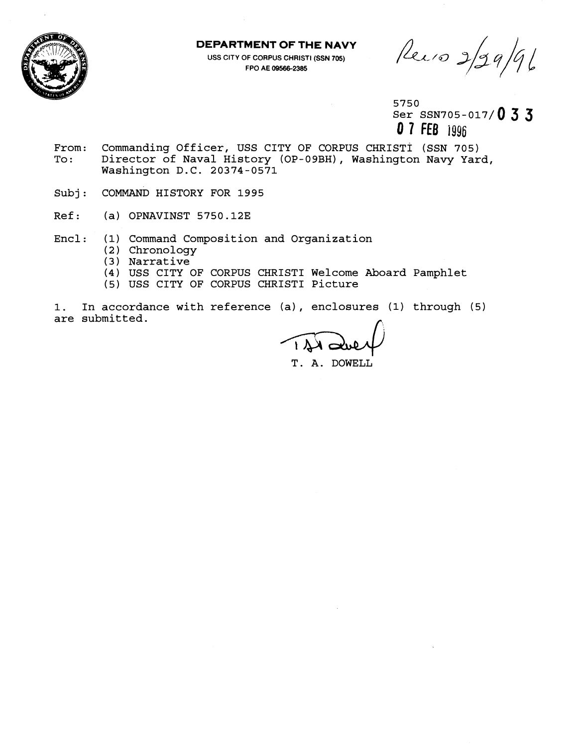

## **DEPARTMENT OF THE NAVY**

**USS CITY OF CORPUS CHRIST1 (SSN 705) FPO AE 09566-2385** 

Recio 2/29/96

5750 Ser SSN705-017/0 3 3 **0 7 FEB** 1996

- From: Commanding Officer, USS CITY OF CORPUS CHRISTI (SSN 705)<br>To: Director of Naval History (OP-09BH), Washington Navy Yar Director of Naval History (OP-09BH), Washington Navy Yard, Washington D.C. 20374-0571
- Subj: COMMAND HISTORY FOR 1995
- Ref: (a) OPNAVINST 5750.12E
- Encl: (1) Command Composition and Organization
	- (2 ) Chronology
	- **(3** ) Narrative
	- (4) USS CITY OF CORPUS CHRIST1 Welcome Aboard Pamphlet
	- (5) USS CITY OF CORPUS CHRIST1 Picture
- 1. In accordance with reference (a), enclosures (1) through (5) are submitted.

T. A. DOWELL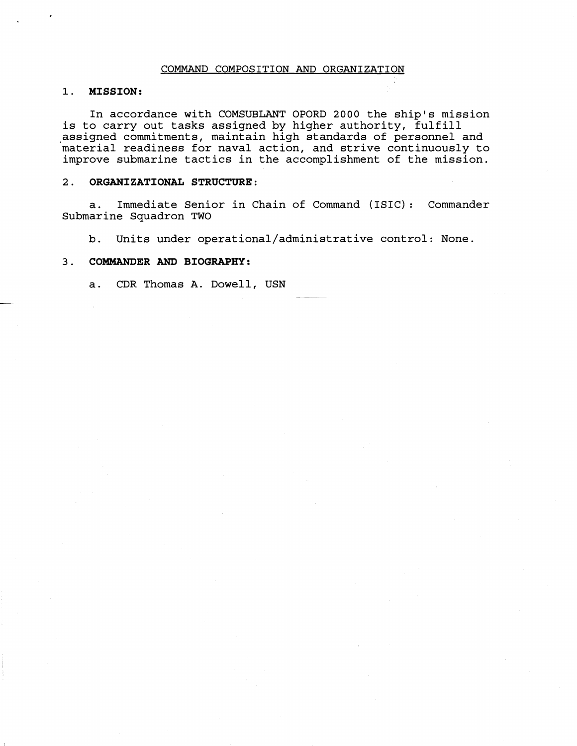### COMMAND COMPOSITION AND ORGANIZATION

## **1. MISSION:**

In accordance with COMSUBLANT OPORD 2000 the ship's mission is to carry out tasks assigned by higher authority, fulfill assigned commitments, maintain high standards of personnel and material readiness for naval action, and strive continuously to improve submarine tactics in the accomplishment of the mission.

### 2. **ORGANIZATIONAL STRUCTURE:**

a. Immediate Senior in Chain of Command (ISIC) : Commander Submarine Squadron TWO

b. Units under **operational/administrative** control: None.

# **3. COMMANDER AND BIOGRAPHY:**

a. CDR Thomas A. Dowell, USN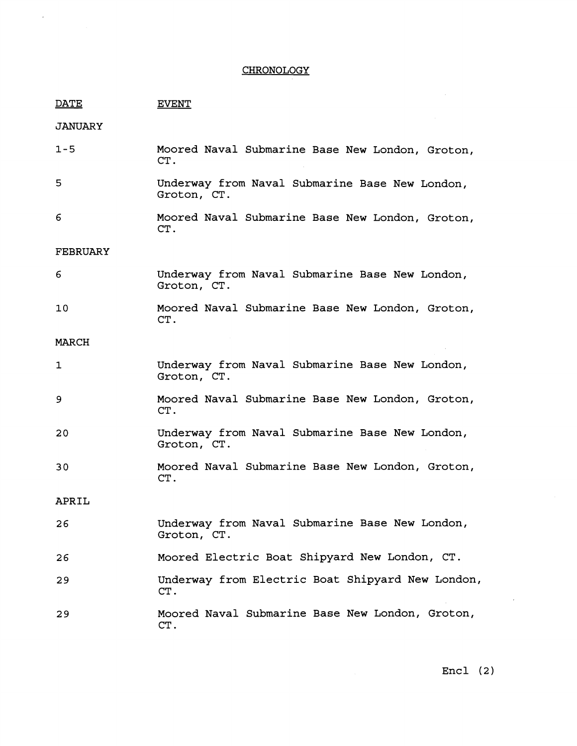# **CHRONOLOGY**

 $\sim 10^{11}$  km s  $^{-1}$ 

| <u>DATE</u>     | <b>EVENT</b>                                                  |
|-----------------|---------------------------------------------------------------|
| <b>JANUARY</b>  |                                                               |
| $1 - 5$         | Moored Naval Submarine Base New London, Groton,<br>CT.        |
| 5               | Underway from Naval Submarine Base New London,<br>Groton, CT. |
| 6               | Moored Naval Submarine Base New London, Groton,<br>CT.        |
| <b>FEBRUARY</b> |                                                               |
| 6               | Underway from Naval Submarine Base New London,<br>Groton, CT. |
| 10              | Moored Naval Submarine Base New London, Groton,<br>CT.        |
| MARCH           |                                                               |
| 1               | Underway from Naval Submarine Base New London,<br>Groton, CT. |
| 9               | Moored Naval Submarine Base New London, Groton,<br>CT.        |
| 20              | Underway from Naval Submarine Base New London,<br>Groton, CT. |
| 30              | Moored Naval Submarine Base New London, Groton,<br>CT.        |
| APRIL           |                                                               |
| 26              | Underway from Naval Submarine Base New London,<br>Groton, CT. |
| 26              | Moored Electric Boat Shipyard New London, CT.                 |
| 29              | Underway from Electric Boat Shipyard New London,<br>CT.       |
| 29              | Moored Naval Submarine Base New London, Groton,<br>CT.        |

Encl **(2)** 

 $\mathcal{L}^{\text{max}}_{\text{max}}$  ,  $\mathcal{L}^{\text{max}}_{\text{max}}$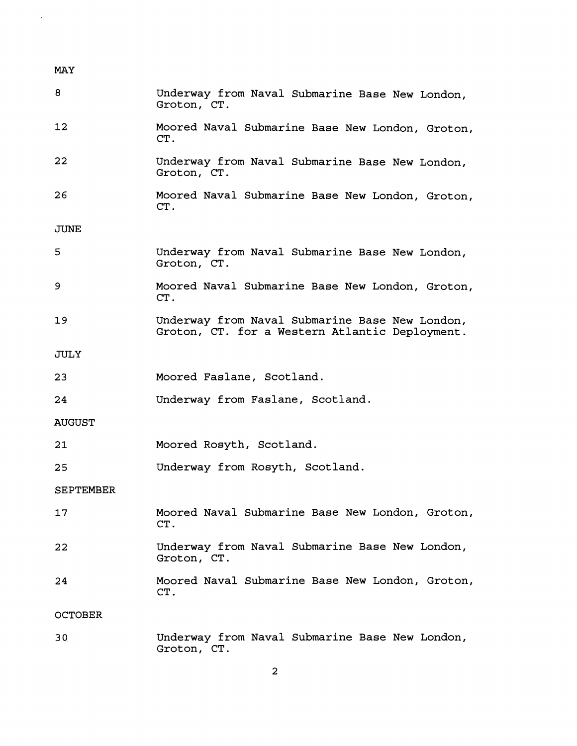| <b>MAY</b>     |                                                                                                  |
|----------------|--------------------------------------------------------------------------------------------------|
| 8              | Underway from Naval Submarine Base New London,<br>Groton, CT.                                    |
| 12             | Moored Naval Submarine Base New London, Groton,<br>CT.                                           |
| 22             | Underway from Naval Submarine Base New London,<br>Groton, CT.                                    |
| 26             | Moored Naval Submarine Base New London, Groton,<br>CT.                                           |
| JUNE           |                                                                                                  |
| 5              | Underway from Naval Submarine Base New London,<br>Groton, CT.                                    |
| 9              | Moored Naval Submarine Base New London, Groton,<br>CT.                                           |
| 19             | Underway from Naval Submarine Base New London,<br>Groton, CT. for a Western Atlantic Deployment. |
| JULY           |                                                                                                  |
| 23             | Moored Faslane, Scotland.                                                                        |
| 24             | Underway from Faslane, Scotland.                                                                 |
| <b>AUGUST</b>  |                                                                                                  |
| 21             | Moored Rosyth, Scotland.                                                                         |
| 25             | Underway from Rosyth, Scotland.                                                                  |
| SEPTEMBER      |                                                                                                  |
| 17             | Moored Naval Submarine Base New London, Groton,<br>CT.                                           |
| 22             | Underway from Naval Submarine Base New London,<br>Groton, CT.                                    |
| 24             | Moored Naval Submarine Base New London, Groton,<br>CT.                                           |
| <b>OCTOBER</b> |                                                                                                  |
| 30             | Underway from Naval Submarine Base New London,                                                   |

 $\overline{\mathbf{c}}$ 

Groton, CT.

 $\sim$   $\lambda$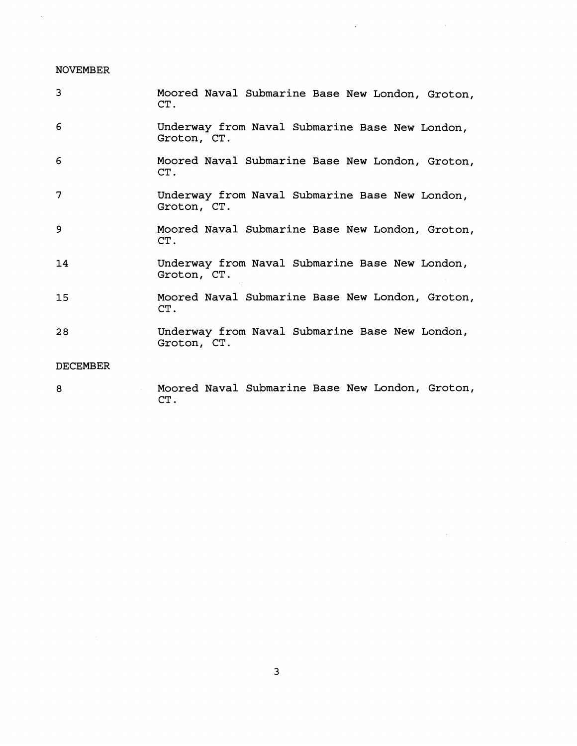# NOVEMBER

 $\sim 10^6$ 

 $\sim 10$ 

| 3               | Moored Naval Submarine Base New London, Groton,<br>CT.        |
|-----------------|---------------------------------------------------------------|
| 6               | Underway from Naval Submarine Base New London,<br>Groton, CT. |
| 6               | Moored Naval Submarine Base New London, Groton,<br>CT.        |
| 7               | Underway from Naval Submarine Base New London,<br>Groton, CT. |
| 9               | Moored Naval Submarine Base New London, Groton,<br>CT.        |
| 14              | Underway from Naval Submarine Base New London,<br>Groton, CT. |
| 15              | Moored Naval Submarine Base New London, Groton,<br>CT.        |
| 28              | Underway from Naval Submarine Base New London,<br>Groton, CT. |
| <b>DECEMBER</b> |                                                               |
| 8               | Moored Naval Submarine Base New London, Groton,<br>CT.        |

 $\label{eq:2.1} \frac{1}{\sqrt{2}}\int_{\mathbb{R}^3}\frac{1}{\sqrt{2}}\left(\frac{1}{\sqrt{2}}\right)^2\left(\frac{1}{\sqrt{2}}\right)^2\left(\frac{1}{\sqrt{2}}\right)^2\left(\frac{1}{\sqrt{2}}\right)^2\left(\frac{1}{\sqrt{2}}\right)^2\left(\frac{1}{\sqrt{2}}\right)^2\left(\frac{1}{\sqrt{2}}\right)^2.$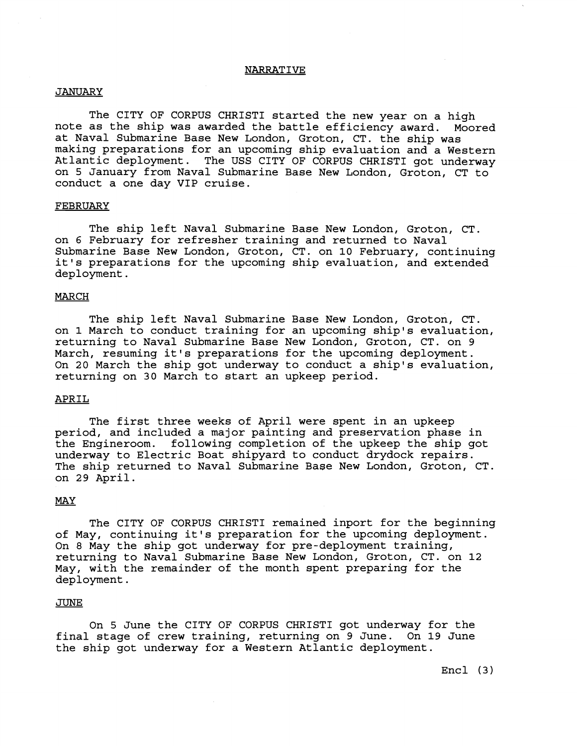### NARRATIVE

### JANUARY

The CITY OF CORPUS CHRISTI started the new year on a high note as the ship was awarded the battle efficiency award. Moored at Naval Submarine Base New London, Groton, CT. the ship was making preparations for an upcoming ship evaluation and a Western Atlantic deployment. The USS CITY OF CORPUS CHRIST1 got underway on 5 January from Naval Submarine Base New London, Groton, CT to conduct a one day VIP cruise.

#### FEBRUARY

The ship left Naval Submarine Base New London, Groton, CT. on 6 February for refresher training and returned to Naval Submarine Base New London, Groton, CT. on 10 February, continuing it's preparations for the upcoming ship evaluation, and extended deployment.

# MARCH

The ship left Naval Submarine Base New London, Groton, CT. on **1** March to conduct training for an upcoming ship's evaluation, returning to Naval Submarine Base New London, Groton, CT. on 9 March, resuming it's preparations for the upcoming deployment. On 20 March the ship got underway to conduct a ship's evaluation, returning on **30** March to start an upkeep period.

### APRIL

The first three weeks of April were spent in an upkeep period, and included a major painting and preservation phase in the Engineroom. following completion of the upkeep the ship got underway to Electric Boat shipyard to conduct drydock repairs. The ship returned to Naval Submarine Base New London, Groton, CT. on 29 April.

### **MAY**

The CITY OF CORPUS CHRIST1 remained inport for the beginning of May, continuing it's preparation for the upcoming deployment. On 8 May the ship got underway for pre-deployment training, returning to Naval Submarine Base New London, Groton, CT. on **12**  May, with the remainder of the month spent preparing for the deployment.

#### **JUNE**

On 5 June the CITY OF CORPUS CHRIST1 got underway for the final stage of crew training, returning on 9 June. On 19 June the ship got underway for a Western Atlantic deployment.

Encl **(3)**